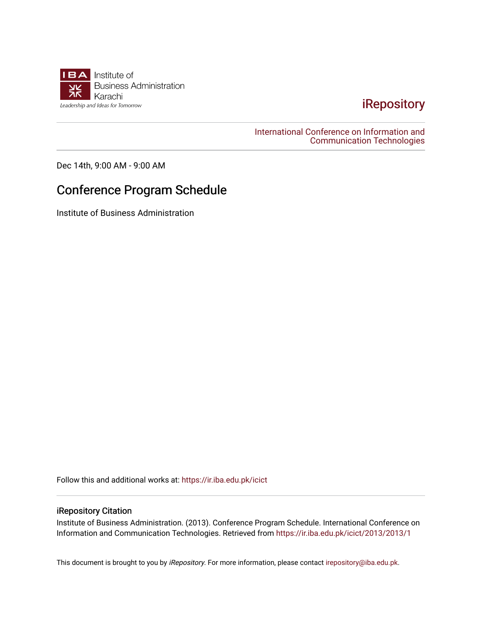

## [iRepository](https://ir.iba.edu.pk/)

[International Conference on Information and](https://ir.iba.edu.pk/icict)  [Communication Technologies](https://ir.iba.edu.pk/icict) 

Dec 14th, 9:00 AM - 9:00 AM

## Conference Program Schedule

Institute of Business Administration

Follow this and additional works at: [https://ir.iba.edu.pk/icict](https://ir.iba.edu.pk/icict?utm_source=ir.iba.edu.pk%2Ficict%2F2013%2F2013%2F1&utm_medium=PDF&utm_campaign=PDFCoverPages) 

## iRepository Citation

Institute of Business Administration. (2013). Conference Program Schedule. International Conference on Information and Communication Technologies. Retrieved from [https://ir.iba.edu.pk/icict/2013/2013/1](https://ir.iba.edu.pk/icict/2013/2013/1?utm_source=ir.iba.edu.pk%2Ficict%2F2013%2F2013%2F1&utm_medium=PDF&utm_campaign=PDFCoverPages) 

This document is brought to you by iRepository. For more information, please contact [irepository@iba.edu.pk](mailto:irepository@iba.edu.pk).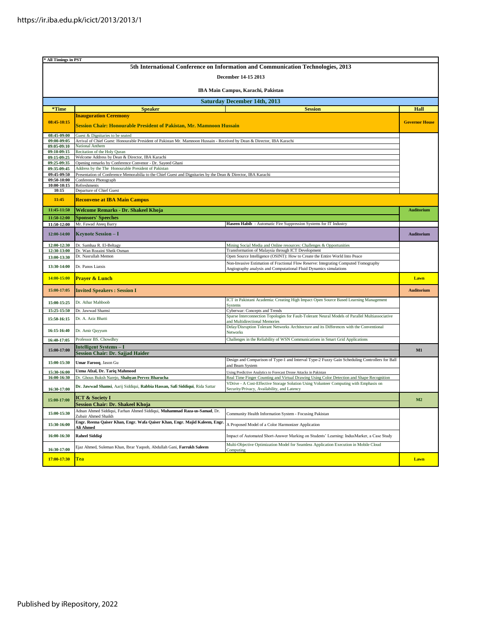| * All Timings in PST                                                             |                                                                                                                                        |                                                                                                                                                          |                       |  |  |
|----------------------------------------------------------------------------------|----------------------------------------------------------------------------------------------------------------------------------------|----------------------------------------------------------------------------------------------------------------------------------------------------------|-----------------------|--|--|
| 5th International Conference on Information and Communication Technologies, 2013 |                                                                                                                                        |                                                                                                                                                          |                       |  |  |
| December 14-15 2013                                                              |                                                                                                                                        |                                                                                                                                                          |                       |  |  |
| IBA Main Campus, Karachi, Pakistan                                               |                                                                                                                                        |                                                                                                                                                          |                       |  |  |
|                                                                                  |                                                                                                                                        | <b>Saturday December 14th, 2013</b>                                                                                                                      |                       |  |  |
| *Time                                                                            | <b>Speaker</b>                                                                                                                         | <b>Session</b>                                                                                                                                           | Hall                  |  |  |
|                                                                                  | <b>Inauguration Ceremony</b>                                                                                                           |                                                                                                                                                          |                       |  |  |
| 08:45-10:15                                                                      | Session Chair: Honourable President of Pakistan, Mr. Mamnoon Hussain                                                                   |                                                                                                                                                          | <b>Governor House</b> |  |  |
| 08:45-09:00                                                                      | Guest & Dignitaries to be seated                                                                                                       |                                                                                                                                                          |                       |  |  |
| 09:00-09:05                                                                      | Arrival of Chief Guest: Honourable President of Pakistan Mr. Mamnoon Hussain - Received by Dean & Director, IBA Karachi                |                                                                                                                                                          |                       |  |  |
| 09:05-09:10<br>09:10-09:15                                                       | National Anthem<br>Recitation of the Holy Quran                                                                                        |                                                                                                                                                          |                       |  |  |
| 09:15-09:25                                                                      | Welcome Address by Dean & Director, IBA Karachi                                                                                        |                                                                                                                                                          |                       |  |  |
| 09:25-09:35                                                                      | Opening remarks by Conference Convenor - Dr. Sayeed Ghani                                                                              |                                                                                                                                                          |                       |  |  |
| 09:35-09:45                                                                      | Address by the The Honourable President of Pakistan                                                                                    |                                                                                                                                                          |                       |  |  |
| 09:45-09:50<br>09:50-10:00                                                       | Presentation of Conference Memorabilia to the Chief Guest and Dignitaries by the Dean & Director, IBA Karachi<br>Conference Photograph |                                                                                                                                                          |                       |  |  |
| 10:00-10:15                                                                      | Refreshments                                                                                                                           |                                                                                                                                                          |                       |  |  |
| 10:15                                                                            | Departure of Chief Guest                                                                                                               |                                                                                                                                                          |                       |  |  |
| 11:45                                                                            | <b>Reconvene at IBA Main Campus</b>                                                                                                    |                                                                                                                                                          |                       |  |  |
| 11:45-11:50                                                                      | Welcome Remarks - Dr. Shakeel Khoja                                                                                                    |                                                                                                                                                          | <b>Auditorium</b>     |  |  |
| 11:50-12:00                                                                      | <b>Sponsors' Speeches</b>                                                                                                              |                                                                                                                                                          |                       |  |  |
| 11:50-12:00                                                                      | Mr. Fawad Ateeq Barry                                                                                                                  | Haseen Habib - Automatic Fire Suppression Systems for IT Industry                                                                                        |                       |  |  |
| 12:00-14:00                                                                      | <b>Keynote Session - I</b>                                                                                                             |                                                                                                                                                          | Auditorium            |  |  |
| 12:00-12:30                                                                      | Dr. Samhaa R. El-Beltagy                                                                                                               | Mining Social Media and Online resources: Challenges & Opportunities                                                                                     |                       |  |  |
| 12:30-13:00                                                                      | Dr. Wan Rozaini Sheik Osman                                                                                                            | Transformation of Malaysia through ICT Development                                                                                                       |                       |  |  |
| 13:00-13:30                                                                      | Dr. Nasrullah Memon                                                                                                                    | Open Source Intelligence (OSINT): How to Create the Entire World Into Peace                                                                              |                       |  |  |
| 13:30-14:00                                                                      | Dr. Panos Liatsis                                                                                                                      | Non-Invasive Estimation of Fractional Flow Reserve: Integrating Computed Tomography<br>Angiography analysis and Computational Fluid Dynamics simulations |                       |  |  |
| 14:00-15:00                                                                      | <b>Prayer &amp; Lunch</b>                                                                                                              |                                                                                                                                                          | Lawn                  |  |  |
| 15:00-17:05                                                                      | <b>Invited Speakers: Session I</b>                                                                                                     |                                                                                                                                                          | <b>Auditorium</b>     |  |  |
| 15:00-15:25                                                                      | Dr. Athar Mahboob                                                                                                                      | ICT in Pakistani Academia: Creating High Impact Open Source Based Learning Management<br><b>Systems</b>                                                  |                       |  |  |
| 15:25-15:50                                                                      | Dr. Jawwad Shamsi                                                                                                                      | Cyberwar: Concepts and Trends                                                                                                                            |                       |  |  |
| 15:50-16:15                                                                      | Dr. A. Aziz Bhatti                                                                                                                     | Sparse Interconnection Topologies for Fault-Tolerant Neural Models of Parallel Multiassociative<br>and Multidirectional Memories                         |                       |  |  |
| 16:15-16:40                                                                      | Dr. Amir Qayyum                                                                                                                        | Delay/Disruption Tolerant Networks Architecture and its Differences with the Conventional<br>Networks                                                    |                       |  |  |
| 16:40-17:05                                                                      | Professor BS. Chowdhry                                                                                                                 | Challenges in the Reliability of WSN Communications in Smart Grid Applications                                                                           |                       |  |  |
|                                                                                  | Intelligent Systems – I                                                                                                                |                                                                                                                                                          |                       |  |  |
| 15:00-17:00                                                                      | <b>Session Chair: Dr. Sajjad Haider</b>                                                                                                |                                                                                                                                                          | M1                    |  |  |
| 15:00-15:30                                                                      | Umar Farooq, Jason Gu                                                                                                                  | Design and Comparison of Type-1 and Interval Type-2 Fuzzy Gain Scheduling Controllers for Ball<br>and Beam System                                        |                       |  |  |
| 15:30-16:00                                                                      | Uzma Afzal, Dr. Tariq Mahmood                                                                                                          | Using Predictive Analytics to Forecast Drone Attacks in Pakistan                                                                                         |                       |  |  |
| 16:00-16:30                                                                      | Dr. Ghous Buksh Narejo, Shahyan Pervez Bharucha                                                                                        | Real Time Finger Counting and Virtual Drawing Using Color Detection and Shape Recognition                                                                |                       |  |  |
| 16:30-17:00                                                                      | Dr. Jawwad Shamsi, Aarij Siddiqui, Rabbia Hassan, Safi Siddiqui, Rida Sattar                                                           | VDrive - A Cost-Effective Storage Solution Using Volunteer Computing with Emphasis on<br>Security/Privacy, Availability, and Latency                     |                       |  |  |
| 15:00-17:00                                                                      | <b>ICT &amp; Society I</b>                                                                                                             |                                                                                                                                                          | M <sub>2</sub>        |  |  |
|                                                                                  | <b>Session Chair: Dr. Shakeel Khoja</b>                                                                                                |                                                                                                                                                          |                       |  |  |
| 15:00-15:30                                                                      | Adnan Ahmed Siddiqui, Farhan Ahmed Siddiqui, Muhammad Raza-us-Samad, Dr.<br>Zubair Ahmed Shaikh                                        | Community Health Information System - Focusing Pakistan                                                                                                  |                       |  |  |
| 15:30-16:00                                                                      | Engr. Reema Qaiser Khan, Engr. Wafa Qaiser Khan, Engr. Majid Kaleem, Engr<br>Ali Ahmed                                                 | A Proposed Model of a Color Harmonizer Application                                                                                                       |                       |  |  |
| 16:00-16:30                                                                      | <b>Raheel Siddigi</b>                                                                                                                  | Impact of Automated Short-Answer Marking on Students' Learning: IndusMarker, a Case Study                                                                |                       |  |  |
| 16:30-17:00                                                                      | Ejaz Ahmed, Suleman Khan, Ibrar Yaqoob, Abdullah Gani, Farrukh Saleem                                                                  | Multi-Objective Optimization Model for Seamless Application Execution in Mobile Cloud<br>Computing                                                       |                       |  |  |
| 17:00-17:30                                                                      | <b>Tea</b>                                                                                                                             |                                                                                                                                                          | Lawn                  |  |  |